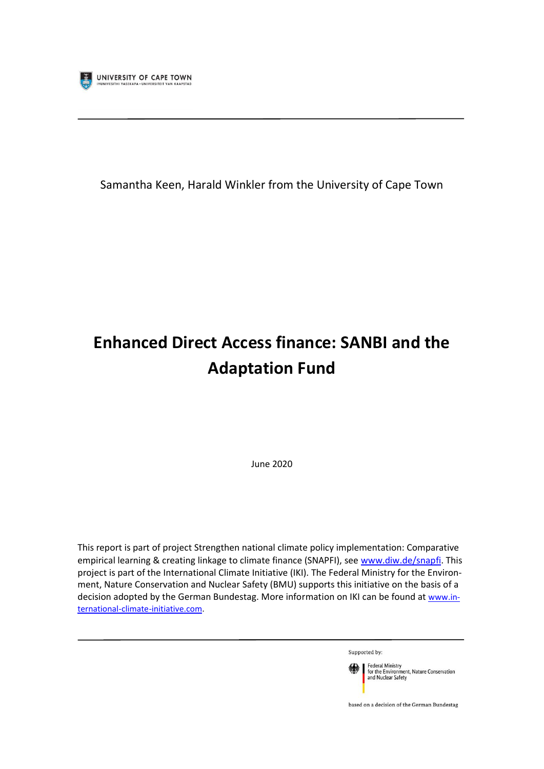

Samantha Keen, Harald Winkler from the University of Cape Town

# **Enhanced Direct Access finance: SANBI and the Adaptation Fund**

June 2020

This report is part of project Strengthen national climate policy implementation: Comparative empirical learning & creating linkage to climate finance (SNAPFI), see [www.diw.de/snapfi.](http://www.diw.de/snapfi) This project is part of the International Climate Initiative (IKI). The Federal Ministry for the Environment, Nature Conservation and Nuclear Safety (BMU) supports this initiative on the basis of a decision adopted by the German Bundestag. More information on IKI can be found at [www.in](http://www.international-climate-initiative.com/)[ternational-climate-initiative.com.](http://www.international-climate-initiative.com/)

Supported by:



based on a decision of the German Bundestag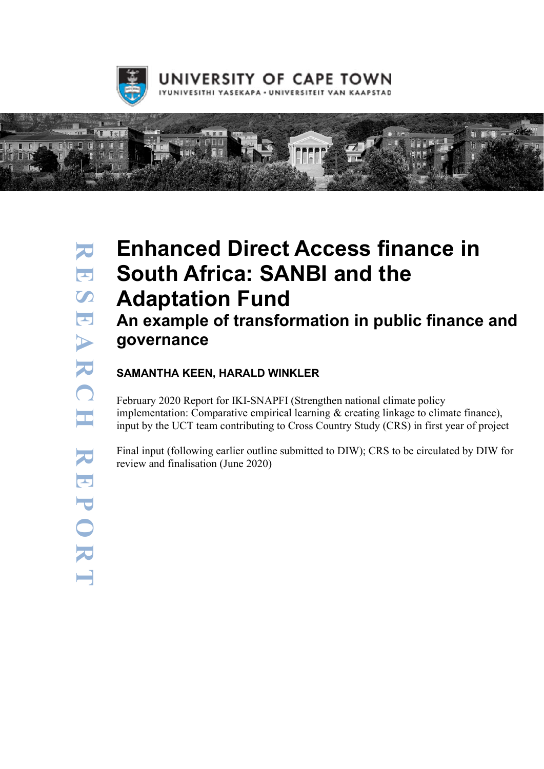



# Enhanced Direct Access finance in South Africa: SANBI and the Adaptation Fund

# An example of transformation in public finance and governance

### SAMANTHA KEEN, HARALD WINKLER

February 2020 Report for IKI-SNAPFI (Strengthen national climate policy implementation: Comparative empirical learning & creating linkage to climate finance), input by the UCT team contributing to Cross Country Study (CRS) in first year of project

Final input (following earlier outline submitted to DIW); CRS to be circulated by DIW for review and finalisation (June 2020)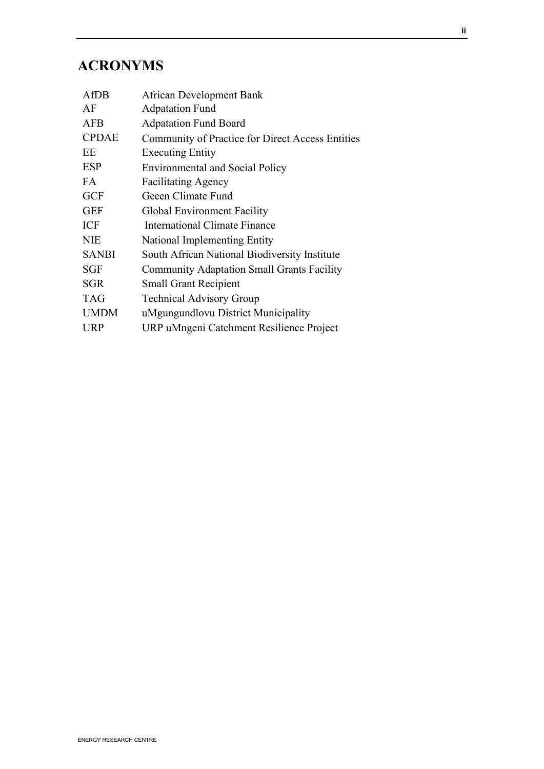# ACRONYMS

| AfDB         | <b>African Development Bank</b>                   |
|--------------|---------------------------------------------------|
| AF           | <b>Adpatation Fund</b>                            |
| <b>AFB</b>   | <b>Adpatation Fund Board</b>                      |
| <b>CPDAE</b> | Community of Practice for Direct Access Entities  |
| EE           | <b>Executing Entity</b>                           |
| <b>ESP</b>   | <b>Environmental and Social Policy</b>            |
| FA           | <b>Facilitating Agency</b>                        |
| <b>GCF</b>   | Geeen Climate Fund                                |
| <b>GEF</b>   | Global Environment Facility                       |
| <b>ICF</b>   | International Climate Finance                     |
| <b>NIE</b>   | National Implementing Entity                      |
| <b>SANBI</b> | South African National Biodiversity Institute     |
| <b>SGF</b>   | <b>Community Adaptation Small Grants Facility</b> |
| <b>SGR</b>   | <b>Small Grant Recipient</b>                      |
| <b>TAG</b>   | <b>Technical Advisory Group</b>                   |
| <b>UMDM</b>  | uMgungundlovu District Municipality               |
| <b>URP</b>   | URP uMngeni Catchment Resilience Project          |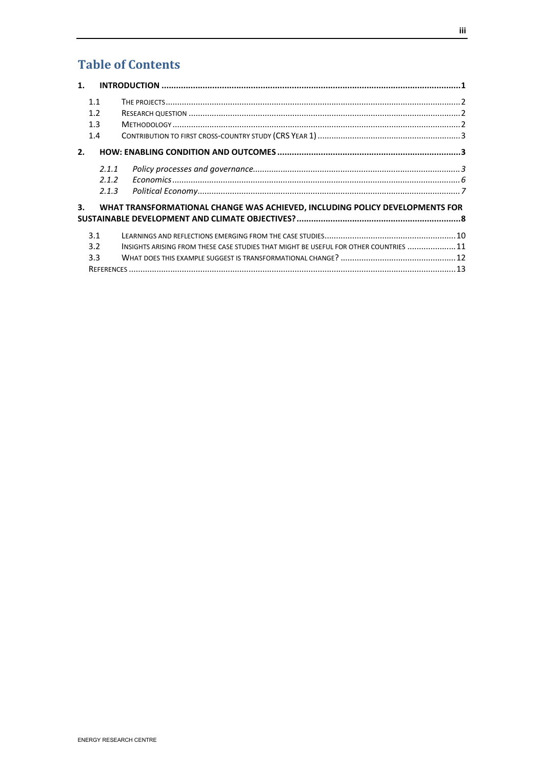# **Table of Contents**

| $\mathbf{1}$ . |                                                                                       |  |
|----------------|---------------------------------------------------------------------------------------|--|
| 1.1            |                                                                                       |  |
| 1.2            |                                                                                       |  |
| 1.3            |                                                                                       |  |
| 1.4            |                                                                                       |  |
| 2.             |                                                                                       |  |
| 2.1.1          |                                                                                       |  |
| 2.1.2          |                                                                                       |  |
| 2.1.3          |                                                                                       |  |
| 3.             | WHAT TRANSFORMATIONAL CHANGE WAS ACHIEVED, INCLUDING POLICY DEVELOPMENTS FOR          |  |
|                |                                                                                       |  |
| 3.1            |                                                                                       |  |
| 3.2            | INSIGHTS ARISING FROM THESE CASE STUDIES THAT MIGHT BE USEFUL FOR OTHER COUNTRIES  11 |  |
| 3.3            |                                                                                       |  |
|                |                                                                                       |  |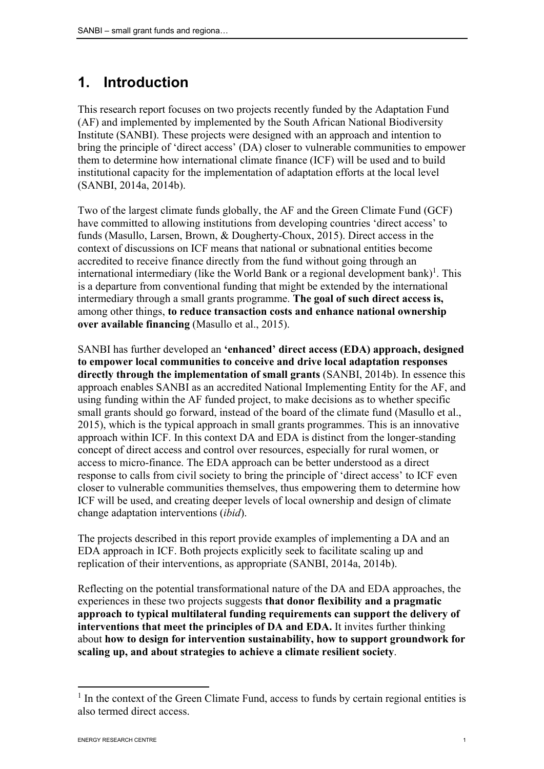# 1. Introduction

This research report focuses on two projects recently funded by the Adaptation Fund (AF) and implemented by implemented by the South African National Biodiversity Institute (SANBI). These projects were designed with an approach and intention to bring the principle of 'direct access' (DA) closer to vulnerable communities to empower them to determine how international climate finance (ICF) will be used and to build institutional capacity for the implementation of adaptation efforts at the local level (SANBI, 2014a, 2014b).

Two of the largest climate funds globally, the AF and the Green Climate Fund (GCF) have committed to allowing institutions from developing countries 'direct access' to funds (Masullo, Larsen, Brown, & Dougherty-Choux, 2015). Direct access in the context of discussions on ICF means that national or subnational entities become accredited to receive finance directly from the fund without going through an international intermediary (like the World Bank or a regional development bank)<sup>1</sup>. This is a departure from conventional funding that might be extended by the international intermediary through a small grants programme. The goal of such direct access is, among other things, to reduce transaction costs and enhance national ownership over available financing (Masullo et al., 2015).

SANBI has further developed an 'enhanced' direct access (EDA) approach, designed to empower local communities to conceive and drive local adaptation responses directly through the implementation of small grants (SANBI, 2014b). In essence this approach enables SANBI as an accredited National Implementing Entity for the AF, and using funding within the AF funded project, to make decisions as to whether specific small grants should go forward, instead of the board of the climate fund (Masullo et al., 2015), which is the typical approach in small grants programmes. This is an innovative approach within ICF. In this context DA and EDA is distinct from the longer-standing concept of direct access and control over resources, especially for rural women, or access to micro-finance. The EDA approach can be better understood as a direct response to calls from civil society to bring the principle of 'direct access' to ICF even closer to vulnerable communities themselves, thus empowering them to determine how ICF will be used, and creating deeper levels of local ownership and design of climate change adaptation interventions (*ibid*).

The projects described in this report provide examples of implementing a DA and an EDA approach in ICF. Both projects explicitly seek to facilitate scaling up and replication of their interventions, as appropriate (SANBI, 2014a, 2014b).

Reflecting on the potential transformational nature of the DA and EDA approaches, the experiences in these two projects suggests that donor flexibility and a pragmatic approach to typical multilateral funding requirements can support the delivery of interventions that meet the principles of DA and EDA. It invites further thinking about how to design for intervention sustainability, how to support groundwork for scaling up, and about strategies to achieve a climate resilient society.

<sup>&</sup>lt;sup>1</sup> In the context of the Green Climate Fund, access to funds by certain regional entities is also termed direct access.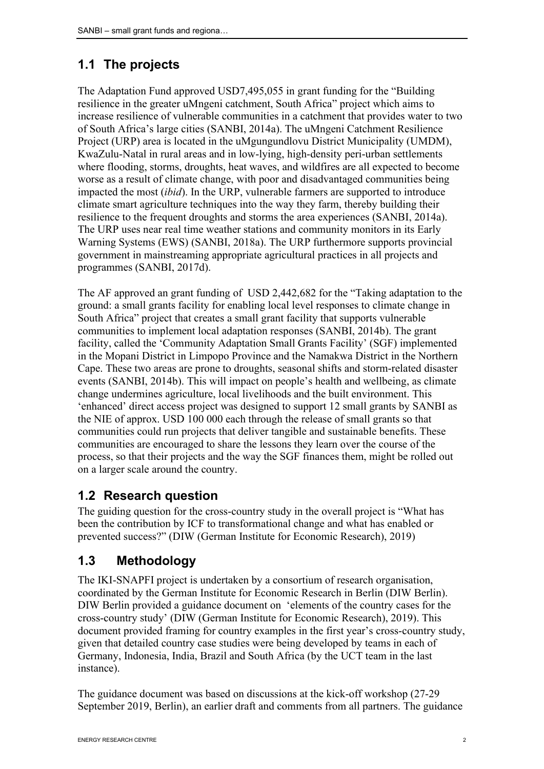# 1.1 The projects

The Adaptation Fund approved USD7,495,055 in grant funding for the "Building resilience in the greater uMngeni catchment, South Africa" project which aims to increase resilience of vulnerable communities in a catchment that provides water to two of South Africa's large cities (SANBI, 2014a). The uMngeni Catchment Resilience Project (URP) area is located in the uMgungundlovu District Municipality (UMDM), KwaZulu-Natal in rural areas and in low-lying, high-density peri-urban settlements where flooding, storms, droughts, heat waves, and wildfires are all expected to become worse as a result of climate change, with poor and disadvantaged communities being impacted the most (*ibid*). In the URP, vulnerable farmers are supported to introduce climate smart agriculture techniques into the way they farm, thereby building their resilience to the frequent droughts and storms the area experiences (SANBI, 2014a). The URP uses near real time weather stations and community monitors in its Early Warning Systems (EWS) (SANBI, 2018a). The URP furthermore supports provincial government in mainstreaming appropriate agricultural practices in all projects and programmes (SANBI, 2017d).

The AF approved an grant funding of USD 2,442,682 for the "Taking adaptation to the ground: a small grants facility for enabling local level responses to climate change in South Africa" project that creates a small grant facility that supports vulnerable communities to implement local adaptation responses (SANBI, 2014b). The grant facility, called the 'Community Adaptation Small Grants Facility' (SGF) implemented in the Mopani District in Limpopo Province and the Namakwa District in the Northern Cape. These two areas are prone to droughts, seasonal shifts and storm-related disaster events (SANBI, 2014b). This will impact on people's health and wellbeing, as climate change undermines agriculture, local livelihoods and the built environment. This 'enhanced' direct access project was designed to support 12 small grants by SANBI as the NIE of approx. USD 100 000 each through the release of small grants so that communities could run projects that deliver tangible and sustainable benefits. These communities are encouraged to share the lessons they learn over the course of the process, so that their projects and the way the SGF finances them, might be rolled out on a larger scale around the country.

## 1.2 Research question

The guiding question for the cross-country study in the overall project is "What has been the contribution by ICF to transformational change and what has enabled or prevented success?" (DIW (German Institute for Economic Research), 2019)

## 1.3 Methodology

The IKI-SNAPFI project is undertaken by a consortium of research organisation, coordinated by the German Institute for Economic Research in Berlin (DIW Berlin). DIW Berlin provided a guidance document on 'elements of the country cases for the cross-country study' (DIW (German Institute for Economic Research), 2019). This document provided framing for country examples in the first year's cross-country study, given that detailed country case studies were being developed by teams in each of Germany, Indonesia, India, Brazil and South Africa (by the UCT team in the last instance).

The guidance document was based on discussions at the kick-off workshop (27-29 September 2019, Berlin), an earlier draft and comments from all partners. The guidance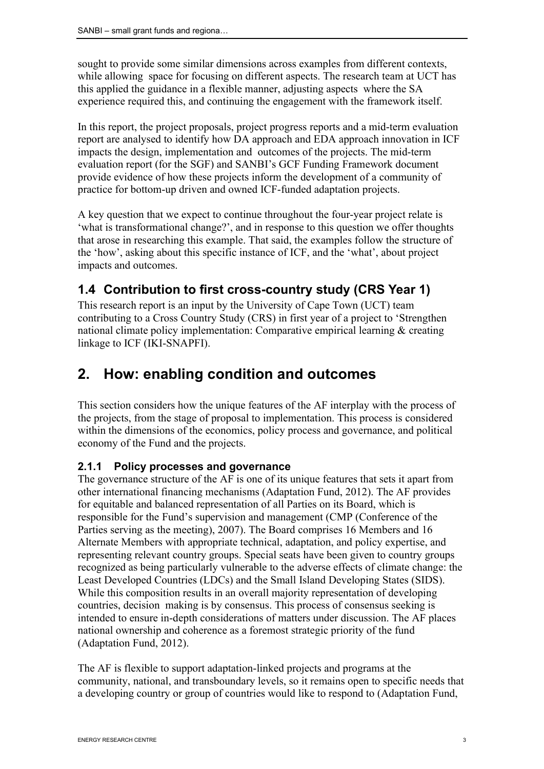sought to provide some similar dimensions across examples from different contexts, while allowing space for focusing on different aspects. The research team at UCT has this applied the guidance in a flexible manner, adjusting aspects where the SA experience required this, and continuing the engagement with the framework itself.

In this report, the project proposals, project progress reports and a mid-term evaluation report are analysed to identify how DA approach and EDA approach innovation in ICF impacts the design, implementation and outcomes of the projects. The mid-term evaluation report (for the SGF) and SANBI's GCF Funding Framework document provide evidence of how these projects inform the development of a community of practice for bottom-up driven and owned ICF-funded adaptation projects.

A key question that we expect to continue throughout the four-year project relate is 'what is transformational change?', and in response to this question we offer thoughts that arose in researching this example. That said, the examples follow the structure of the 'how', asking about this specific instance of ICF, and the 'what', about project impacts and outcomes.

## 1.4 Contribution to first cross-country study (CRS Year 1)

This research report is an input by the University of Cape Town (UCT) team contributing to a Cross Country Study (CRS) in first year of a project to 'Strengthen national climate policy implementation: Comparative empirical learning & creating linkage to ICF (IKI-SNAPFI).

# 2. How: enabling condition and outcomes

This section considers how the unique features of the AF interplay with the process of the projects, from the stage of proposal to implementation. This process is considered within the dimensions of the economics, policy process and governance, and political economy of the Fund and the projects.

#### 2.1.1 Policy processes and governance

The governance structure of the AF is one of its unique features that sets it apart from other international financing mechanisms (Adaptation Fund, 2012). The AF provides for equitable and balanced representation of all Parties on its Board, which is responsible for the Fund's supervision and management (CMP (Conference of the Parties serving as the meeting), 2007). The Board comprises 16 Members and 16 Alternate Members with appropriate technical, adaptation, and policy expertise, and representing relevant country groups. Special seats have been given to country groups recognized as being particularly vulnerable to the adverse effects of climate change: the Least Developed Countries (LDCs) and the Small Island Developing States (SIDS). While this composition results in an overall majority representation of developing countries, decision making is by consensus. This process of consensus seeking is intended to ensure in-depth considerations of matters under discussion. The AF places national ownership and coherence as a foremost strategic priority of the fund (Adaptation Fund, 2012).

The AF is flexible to support adaptation-linked projects and programs at the community, national, and transboundary levels, so it remains open to specific needs that a developing country or group of countries would like to respond to (Adaptation Fund,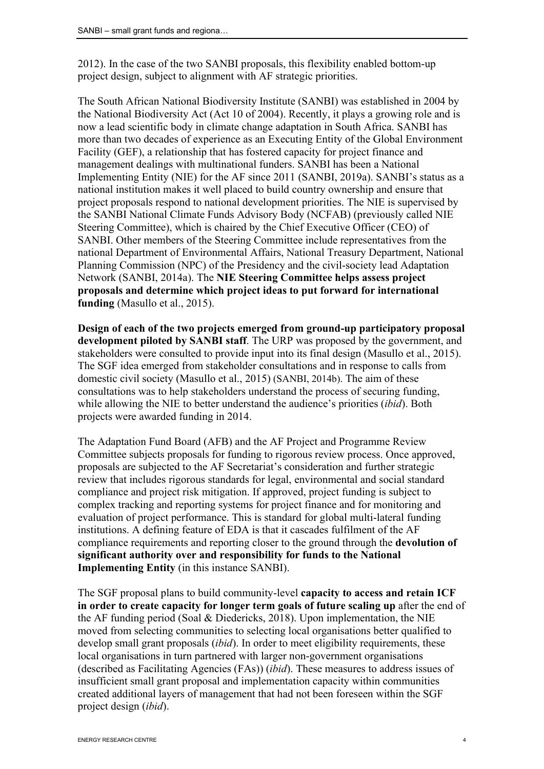2012). In the case of the two SANBI proposals, this flexibility enabled bottom-up project design, subject to alignment with AF strategic priorities.

The South African National Biodiversity Institute (SANBI) was established in 2004 by the National Biodiversity Act (Act 10 of 2004). Recently, it plays a growing role and is now a lead scientific body in climate change adaptation in South Africa. SANBI has more than two decades of experience as an Executing Entity of the Global Environment Facility (GEF), a relationship that has fostered capacity for project finance and management dealings with multinational funders. SANBI has been a National Implementing Entity (NIE) for the AF since 2011 (SANBI, 2019a). SANBI's status as a national institution makes it well placed to build country ownership and ensure that project proposals respond to national development priorities. The NIE is supervised by the SANBI National Climate Funds Advisory Body (NCFAB) (previously called NIE Steering Committee), which is chaired by the Chief Executive Officer (CEO) of SANBI. Other members of the Steering Committee include representatives from the national Department of Environmental Affairs, National Treasury Department, National Planning Commission (NPC) of the Presidency and the civil-society lead Adaptation Network (SANBI, 2014a). The NIE Steering Committee helps assess project proposals and determine which project ideas to put forward for international funding (Masullo et al., 2015).

Design of each of the two projects emerged from ground-up participatory proposal development piloted by SANBI staff. The URP was proposed by the government, and stakeholders were consulted to provide input into its final design (Masullo et al., 2015). The SGF idea emerged from stakeholder consultations and in response to calls from domestic civil society (Masullo et al., 2015) (SANBI, 2014b). The aim of these consultations was to help stakeholders understand the process of securing funding, while allowing the NIE to better understand the audience's priorities (*ibid*). Both projects were awarded funding in 2014.

The Adaptation Fund Board (AFB) and the AF Project and Programme Review Committee subjects proposals for funding to rigorous review process. Once approved, proposals are subjected to the AF Secretariat's consideration and further strategic review that includes rigorous standards for legal, environmental and social standard compliance and project risk mitigation. If approved, project funding is subject to complex tracking and reporting systems for project finance and for monitoring and evaluation of project performance. This is standard for global multi-lateral funding institutions. A defining feature of EDA is that it cascades fulfilment of the AF compliance requirements and reporting closer to the ground through the devolution of significant authority over and responsibility for funds to the National Implementing Entity (in this instance SANBI).

The SGF proposal plans to build community-level capacity to access and retain ICF in order to create capacity for longer term goals of future scaling up after the end of the AF funding period (Soal & Diedericks, 2018). Upon implementation, the NIE moved from selecting communities to selecting local organisations better qualified to develop small grant proposals (*ibid*). In order to meet eligibility requirements, these local organisations in turn partnered with larger non-government organisations (described as Facilitating Agencies (FAs)) (*ibid*). These measures to address issues of insufficient small grant proposal and implementation capacity within communities created additional layers of management that had not been foreseen within the SGF project design (*ibid*).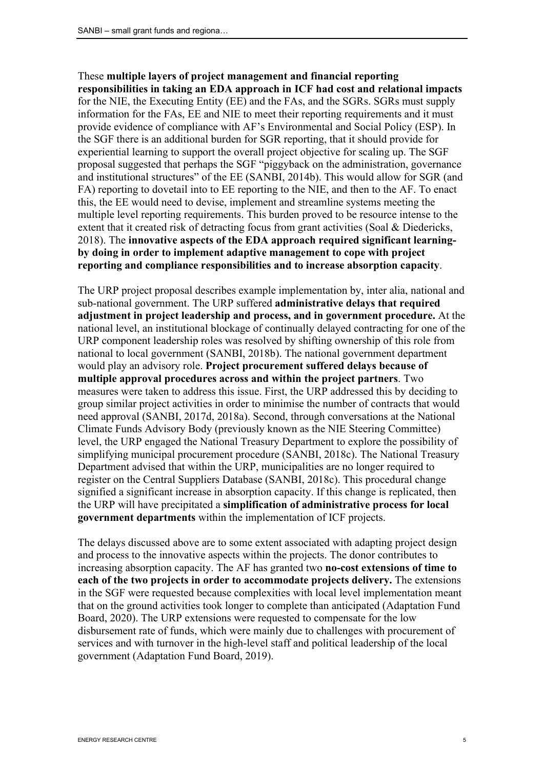#### These multiple layers of project management and financial reporting responsibilities in taking an EDA approach in ICF had cost and relational impacts for the NIE, the Executing Entity (EE) and the FAs, and the SGRs. SGRs must supply information for the FAs, EE and NIE to meet their reporting requirements and it must provide evidence of compliance with AF's Environmental and Social Policy (ESP). In the SGF there is an additional burden for SGR reporting, that it should provide for experiential learning to support the overall project objective for scaling up. The SGF proposal suggested that perhaps the SGF "piggyback on the administration, governance and institutional structures" of the EE (SANBI, 2014b). This would allow for SGR (and FA) reporting to dovetail into to EE reporting to the NIE, and then to the AF. To enact this, the EE would need to devise, implement and streamline systems meeting the multiple level reporting requirements. This burden proved to be resource intense to the extent that it created risk of detracting focus from grant activities (Soal & Diedericks, 2018). The innovative aspects of the EDA approach required significant learningby doing in order to implement adaptive management to cope with project reporting and compliance responsibilities and to increase absorption capacity.

The URP project proposal describes example implementation by, inter alia, national and sub-national government. The URP suffered administrative delays that required adjustment in project leadership and process, and in government procedure. At the national level, an institutional blockage of continually delayed contracting for one of the URP component leadership roles was resolved by shifting ownership of this role from national to local government (SANBI, 2018b). The national government department would play an advisory role. Project procurement suffered delays because of multiple approval procedures across and within the project partners. Two measures were taken to address this issue. First, the URP addressed this by deciding to group similar project activities in order to minimise the number of contracts that would need approval (SANBI, 2017d, 2018a). Second, through conversations at the National Climate Funds Advisory Body (previously known as the NIE Steering Committee) level, the URP engaged the National Treasury Department to explore the possibility of simplifying municipal procurement procedure (SANBI, 2018c). The National Treasury Department advised that within the URP, municipalities are no longer required to register on the Central Suppliers Database (SANBI, 2018c). This procedural change signified a significant increase in absorption capacity. If this change is replicated, then the URP will have precipitated a simplification of administrative process for local government departments within the implementation of ICF projects.

The delays discussed above are to some extent associated with adapting project design and process to the innovative aspects within the projects. The donor contributes to increasing absorption capacity. The AF has granted two no-cost extensions of time to each of the two projects in order to accommodate projects delivery. The extensions in the SGF were requested because complexities with local level implementation meant that on the ground activities took longer to complete than anticipated (Adaptation Fund Board, 2020). The URP extensions were requested to compensate for the low disbursement rate of funds, which were mainly due to challenges with procurement of services and with turnover in the high-level staff and political leadership of the local government (Adaptation Fund Board, 2019).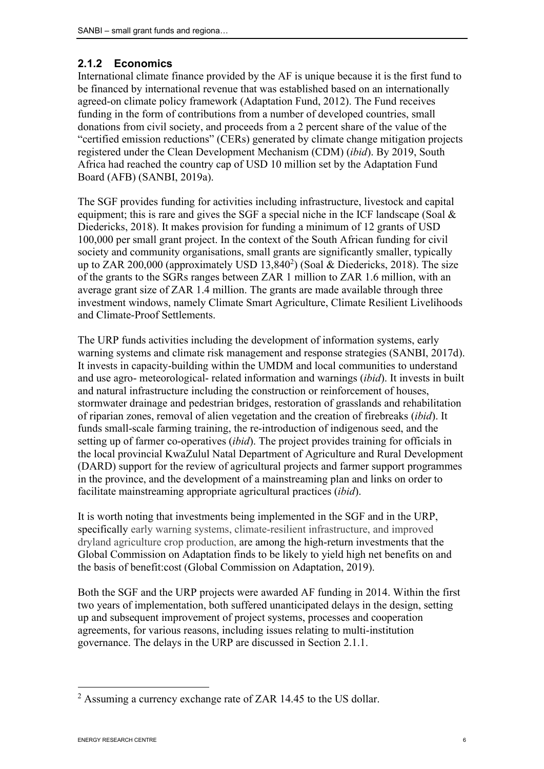#### 2.1.2 Economics

International climate finance provided by the AF is unique because it is the first fund to be financed by international revenue that was established based on an internationally agreed-on climate policy framework (Adaptation Fund, 2012). The Fund receives funding in the form of contributions from a number of developed countries, small donations from civil society, and proceeds from a 2 percent share of the value of the "certified emission reductions" (CERs) generated by climate change mitigation projects registered under the Clean Development Mechanism (CDM) (*ibid*). By 2019, South Africa had reached the country cap of USD 10 million set by the Adaptation Fund Board (AFB) (SANBI, 2019a).

The SGF provides funding for activities including infrastructure, livestock and capital equipment; this is rare and gives the SGF a special niche in the ICF landscape (Soal  $\&$ Diedericks, 2018). It makes provision for funding a minimum of 12 grants of USD 100,000 per small grant project. In the context of the South African funding for civil society and community organisations, small grants are significantly smaller, typically up to ZAR 200,000 (approximately USD  $13,840^2$ ) (Soal & Diedericks, 2018). The size of the grants to the SGRs ranges between ZAR 1 million to ZAR 1.6 million, with an average grant size of ZAR 1.4 million. The grants are made available through three investment windows, namely Climate Smart Agriculture, Climate Resilient Livelihoods and Climate-Proof Settlements.

The URP funds activities including the development of information systems, early warning systems and climate risk management and response strategies (SANBI, 2017d). It invests in capacity-building within the UMDM and local communities to understand and use agro- meteorological- related information and warnings (*ibid*). It invests in built and natural infrastructure including the construction or reinforcement of houses, stormwater drainage and pedestrian bridges, restoration of grasslands and rehabilitation of riparian zones, removal of alien vegetation and the creation of firebreaks (*ibid*). It funds small-scale farming training, the re-introduction of indigenous seed, and the setting up of farmer co-operatives (*ibid*). The project provides training for officials in the local provincial KwaZulul Natal Department of Agriculture and Rural Development (DARD) support for the review of agricultural projects and farmer support programmes in the province, and the development of a mainstreaming plan and links on order to facilitate mainstreaming appropriate agricultural practices (*ibid*).

It is worth noting that investments being implemented in the SGF and in the URP, specifically early warning systems, climate-resilient infrastructure, and improved dryland agriculture crop production, are among the high-return investments that the Global Commission on Adaptation finds to be likely to yield high net benefits on and the basis of benefit:cost (Global Commission on Adaptation, 2019).

Both the SGF and the URP projects were awarded AF funding in 2014. Within the first two years of implementation, both suffered unanticipated delays in the design, setting up and subsequent improvement of project systems, processes and cooperation agreements, for various reasons, including issues relating to multi-institution governance. The delays in the URP are discussed in Section 2.1.1.

<sup>2</sup> Assuming a currency exchange rate of ZAR 14.45 to the US dollar.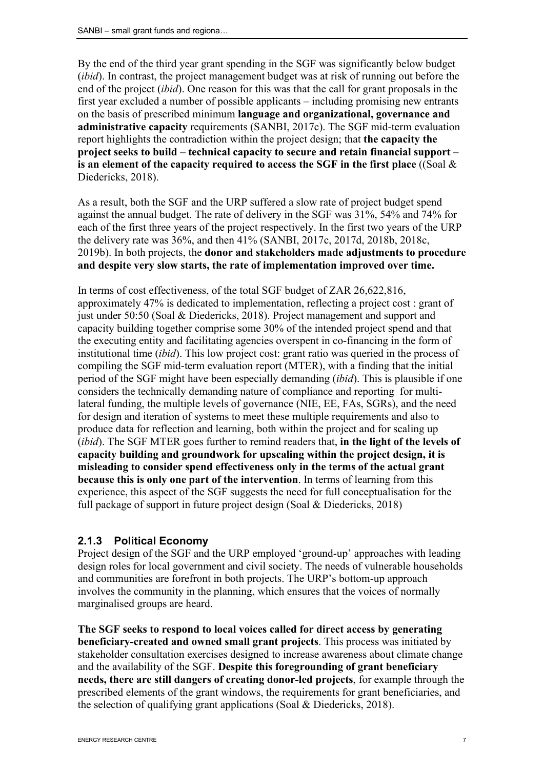By the end of the third year grant spending in the SGF was significantly below budget (*ibid*). In contrast, the project management budget was at risk of running out before the end of the project (*ibid*). One reason for this was that the call for grant proposals in the first year excluded a number of possible applicants – including promising new entrants on the basis of prescribed minimum language and organizational, governance and administrative capacity requirements (SANBI, 2017c). The SGF mid-term evaluation report highlights the contradiction within the project design; that the capacity the project seeks to build – technical capacity to secure and retain financial support – is an element of the capacity required to access the SGF in the first place ((Soal  $\&$ Diedericks, 2018).

As a result, both the SGF and the URP suffered a slow rate of project budget spend against the annual budget. The rate of delivery in the SGF was 31%, 54% and 74% for each of the first three years of the project respectively. In the first two years of the URP the delivery rate was 36%, and then 41% (SANBI, 2017c, 2017d, 2018b, 2018c, 2019b). In both projects, the donor and stakeholders made adjustments to procedure and despite very slow starts, the rate of implementation improved over time.

In terms of cost effectiveness, of the total SGF budget of ZAR 26,622,816, approximately 47% is dedicated to implementation, reflecting a project cost : grant of just under 50:50 (Soal & Diedericks, 2018). Project management and support and capacity building together comprise some 30% of the intended project spend and that the executing entity and facilitating agencies overspent in co-financing in the form of institutional time (*ibid*). This low project cost: grant ratio was queried in the process of compiling the SGF mid-term evaluation report (MTER), with a finding that the initial period of the SGF might have been especially demanding (*ibid*). This is plausible if one considers the technically demanding nature of compliance and reporting for multilateral funding, the multiple levels of governance (NIE, EE, FAs, SGRs), and the need for design and iteration of systems to meet these multiple requirements and also to produce data for reflection and learning, both within the project and for scaling up (*ibid*). The SGF MTER goes further to remind readers that, in the light of the levels of capacity building and groundwork for upscaling within the project design, it is misleading to consider spend effectiveness only in the terms of the actual grant because this is only one part of the intervention. In terms of learning from this experience, this aspect of the SGF suggests the need for full conceptualisation for the full package of support in future project design (Soal & Diedericks, 2018)

#### 2.1.3 Political Economy

Project design of the SGF and the URP employed 'ground-up' approaches with leading design roles for local government and civil society. The needs of vulnerable households and communities are forefront in both projects. The URP's bottom-up approach involves the community in the planning, which ensures that the voices of normally marginalised groups are heard.

The SGF seeks to respond to local voices called for direct access by generating beneficiary-created and owned small grant projects. This process was initiated by stakeholder consultation exercises designed to increase awareness about climate change and the availability of the SGF. Despite this foregrounding of grant beneficiary needs, there are still dangers of creating donor-led projects, for example through the prescribed elements of the grant windows, the requirements for grant beneficiaries, and the selection of qualifying grant applications (Soal & Diedericks, 2018).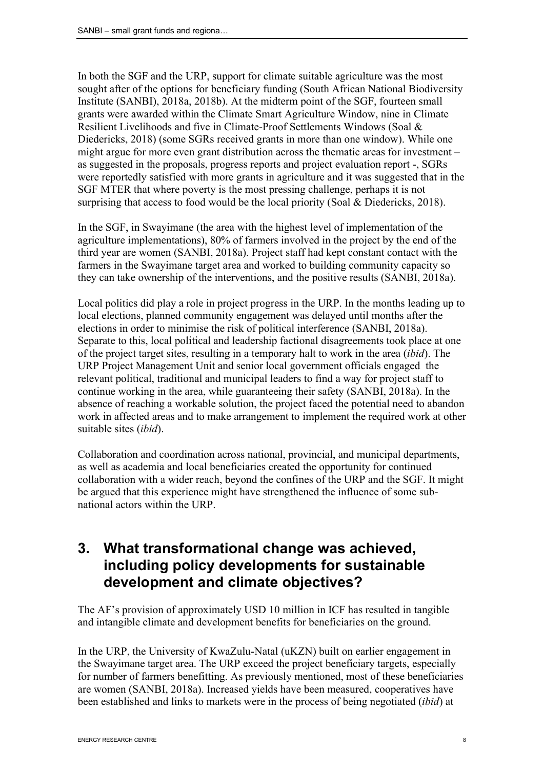In both the SGF and the URP, support for climate suitable agriculture was the most sought after of the options for beneficiary funding (South African National Biodiversity Institute (SANBI), 2018a, 2018b). At the midterm point of the SGF, fourteen small grants were awarded within the Climate Smart Agriculture Window, nine in Climate Resilient Livelihoods and five in Climate-Proof Settlements Windows (Soal & Diedericks, 2018) (some SGRs received grants in more than one window). While one might argue for more even grant distribution across the thematic areas for investment – as suggested in the proposals, progress reports and project evaluation report -, SGRs were reportedly satisfied with more grants in agriculture and it was suggested that in the SGF MTER that where poverty is the most pressing challenge, perhaps it is not surprising that access to food would be the local priority (Soal & Diedericks, 2018).

In the SGF, in Swayimane (the area with the highest level of implementation of the agriculture implementations), 80% of farmers involved in the project by the end of the third year are women (SANBI, 2018a). Project staff had kept constant contact with the farmers in the Swayimane target area and worked to building community capacity so they can take ownership of the interventions, and the positive results (SANBI, 2018a).

Local politics did play a role in project progress in the URP. In the months leading up to local elections, planned community engagement was delayed until months after the elections in order to minimise the risk of political interference (SANBI, 2018a). Separate to this, local political and leadership factional disagreements took place at one of the project target sites, resulting in a temporary halt to work in the area (*ibid*). The URP Project Management Unit and senior local government officials engaged the relevant political, traditional and municipal leaders to find a way for project staff to continue working in the area, while guaranteeing their safety (SANBI, 2018a). In the absence of reaching a workable solution, the project faced the potential need to abandon work in affected areas and to make arrangement to implement the required work at other suitable sites (*ibid*).

Collaboration and coordination across national, provincial, and municipal departments, as well as academia and local beneficiaries created the opportunity for continued collaboration with a wider reach, beyond the confines of the URP and the SGF. It might be argued that this experience might have strengthened the influence of some subnational actors within the URP.

# 3. What transformational change was achieved, including policy developments for sustainable development and climate objectives?

The AF's provision of approximately USD 10 million in ICF has resulted in tangible and intangible climate and development benefits for beneficiaries on the ground.

In the URP, the University of KwaZulu-Natal (uKZN) built on earlier engagement in the Swayimane target area. The URP exceed the project beneficiary targets, especially for number of farmers benefitting. As previously mentioned, most of these beneficiaries are women (SANBI, 2018a). Increased yields have been measured, cooperatives have been established and links to markets were in the process of being negotiated (*ibid*) at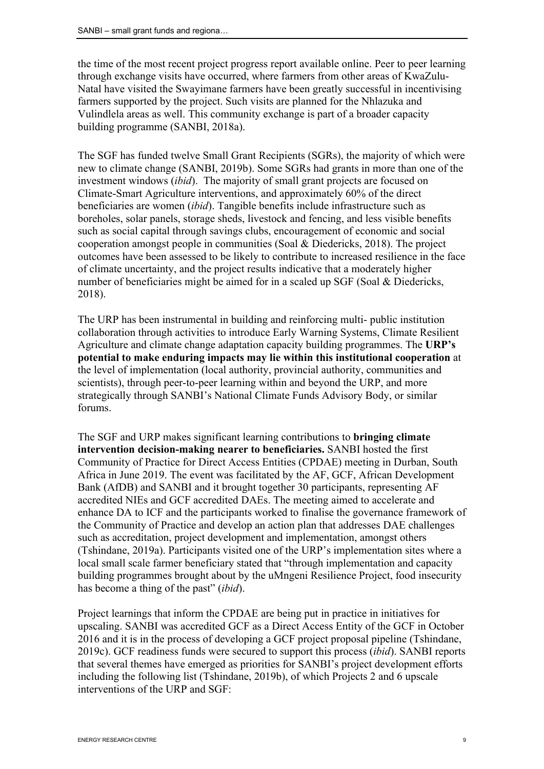the time of the most recent project progress report available online. Peer to peer learning through exchange visits have occurred, where farmers from other areas of KwaZulu-Natal have visited the Swayimane farmers have been greatly successful in incentivising farmers supported by the project. Such visits are planned for the Nhlazuka and Vulindlela areas as well. This community exchange is part of a broader capacity building programme (SANBI, 2018a).

The SGF has funded twelve Small Grant Recipients (SGRs), the majority of which were new to climate change (SANBI, 2019b). Some SGRs had grants in more than one of the investment windows (*ibid*). The majority of small grant projects are focused on Climate-Smart Agriculture interventions, and approximately 60% of the direct beneficiaries are women (*ibid*). Tangible benefits include infrastructure such as boreholes, solar panels, storage sheds, livestock and fencing, and less visible benefits such as social capital through savings clubs, encouragement of economic and social cooperation amongst people in communities (Soal & Diedericks, 2018). The project outcomes have been assessed to be likely to contribute to increased resilience in the face of climate uncertainty, and the project results indicative that a moderately higher number of beneficiaries might be aimed for in a scaled up SGF (Soal & Diedericks, 2018).

The URP has been instrumental in building and reinforcing multi- public institution collaboration through activities to introduce Early Warning Systems, Climate Resilient Agriculture and climate change adaptation capacity building programmes. The URP's potential to make enduring impacts may lie within this institutional cooperation at the level of implementation (local authority, provincial authority, communities and scientists), through peer-to-peer learning within and beyond the URP, and more strategically through SANBI's National Climate Funds Advisory Body, or similar forums.

The SGF and URP makes significant learning contributions to bringing climate intervention decision-making nearer to beneficiaries. SANBI hosted the first Community of Practice for Direct Access Entities (CPDAE) meeting in Durban, South Africa in June 2019. The event was facilitated by the AF, GCF, African Development Bank (AfDB) and SANBI and it brought together 30 participants, representing AF accredited NIEs and GCF accredited DAEs. The meeting aimed to accelerate and enhance DA to ICF and the participants worked to finalise the governance framework of the Community of Practice and develop an action plan that addresses DAE challenges such as accreditation, project development and implementation, amongst others (Tshindane, 2019a). Participants visited one of the URP's implementation sites where a local small scale farmer beneficiary stated that "through implementation and capacity building programmes brought about by the uMngeni Resilience Project, food insecurity has become a thing of the past" (*ibid*).

Project learnings that inform the CPDAE are being put in practice in initiatives for upscaling. SANBI was accredited GCF as a Direct Access Entity of the GCF in October 2016 and it is in the process of developing a GCF project proposal pipeline (Tshindane, 2019c). GCF readiness funds were secured to support this process (*ibid*). SANBI reports that several themes have emerged as priorities for SANBI's project development efforts including the following list (Tshindane, 2019b), of which Projects 2 and 6 upscale interventions of the URP and SGF: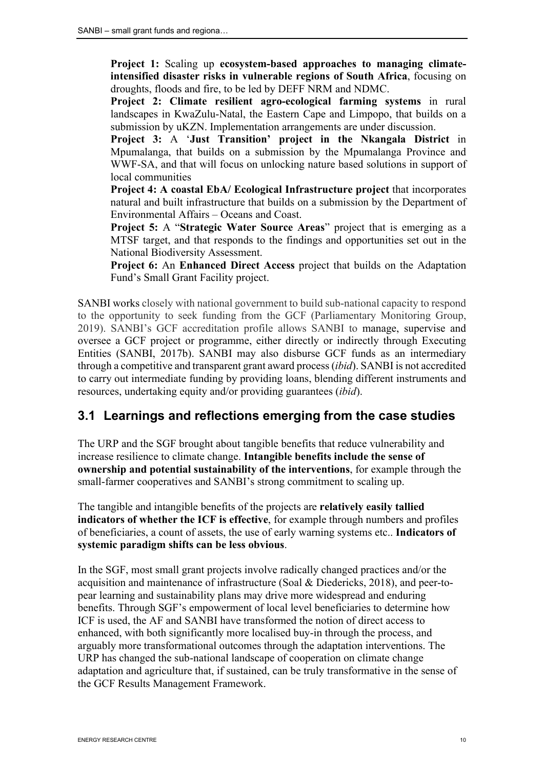Project 1: Scaling up ecosystem-based approaches to managing climateintensified disaster risks in vulnerable regions of South Africa, focusing on droughts, floods and fire, to be led by DEFF NRM and NDMC.

Project 2: Climate resilient agro-ecological farming systems in rural landscapes in KwaZulu-Natal, the Eastern Cape and Limpopo, that builds on a submission by uKZN. Implementation arrangements are under discussion.

Project 3: A 'Just Transition' project in the Nkangala District in Mpumalanga, that builds on a submission by the Mpumalanga Province and WWF-SA, and that will focus on unlocking nature based solutions in support of local communities

Project 4: A coastal EbA/ Ecological Infrastructure project that incorporates natural and built infrastructure that builds on a submission by the Department of Environmental Affairs – Oceans and Coast.

Project 5: A "Strategic Water Source Areas" project that is emerging as a MTSF target, and that responds to the findings and opportunities set out in the National Biodiversity Assessment.

Project 6: An Enhanced Direct Access project that builds on the Adaptation Fund's Small Grant Facility project.

SANBI works closely with national government to build sub-national capacity to respond to the opportunity to seek funding from the GCF (Parliamentary Monitoring Group, 2019). SANBI's GCF accreditation profile allows SANBI to manage, supervise and oversee a GCF project or programme, either directly or indirectly through Executing Entities (SANBI, 2017b). SANBI may also disburse GCF funds as an intermediary through a competitive and transparent grant award process(*ibid*). SANBI is not accredited to carry out intermediate funding by providing loans, blending different instruments and resources, undertaking equity and/or providing guarantees (*ibid*).

### 3.1 Learnings and reflections emerging from the case studies

The URP and the SGF brought about tangible benefits that reduce vulnerability and increase resilience to climate change. Intangible benefits include the sense of ownership and potential sustainability of the interventions, for example through the small-farmer cooperatives and SANBI's strong commitment to scaling up.

The tangible and intangible benefits of the projects are relatively easily tallied indicators of whether the ICF is effective, for example through numbers and profiles of beneficiaries, a count of assets, the use of early warning systems etc.. Indicators of systemic paradigm shifts can be less obvious.

In the SGF, most small grant projects involve radically changed practices and/or the acquisition and maintenance of infrastructure (Soal & Diedericks, 2018), and peer-topear learning and sustainability plans may drive more widespread and enduring benefits. Through SGF's empowerment of local level beneficiaries to determine how ICF is used, the AF and SANBI have transformed the notion of direct access to enhanced, with both significantly more localised buy-in through the process, and arguably more transformational outcomes through the adaptation interventions. The URP has changed the sub-national landscape of cooperation on climate change adaptation and agriculture that, if sustained, can be truly transformative in the sense of the GCF Results Management Framework.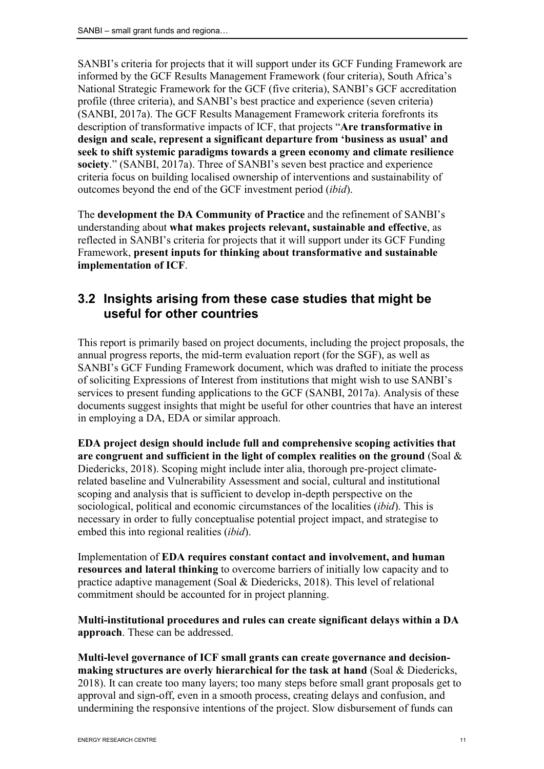SANBI's criteria for projects that it will support under its GCF Funding Framework are informed by the GCF Results Management Framework (four criteria), South Africa's National Strategic Framework for the GCF (five criteria), SANBI's GCF accreditation profile (three criteria), and SANBI's best practice and experience (seven criteria) (SANBI, 2017a). The GCF Results Management Framework criteria forefronts its description of transformative impacts of ICF, that projects "Are transformative in design and scale, represent a significant departure from 'business as usual' and seek to shift systemic paradigms towards a green economy and climate resilience society." (SANBI, 2017a). Three of SANBI's seven best practice and experience criteria focus on building localised ownership of interventions and sustainability of outcomes beyond the end of the GCF investment period (*ibid*).

The development the DA Community of Practice and the refinement of SANBI's understanding about what makes projects relevant, sustainable and effective, as reflected in SANBI's criteria for projects that it will support under its GCF Funding Framework, present inputs for thinking about transformative and sustainable implementation of ICF.

#### 3.2 Insights arising from these case studies that might be useful for other countries

This report is primarily based on project documents, including the project proposals, the annual progress reports, the mid-term evaluation report (for the SGF), as well as SANBI's GCF Funding Framework document, which was drafted to initiate the process of soliciting Expressions of Interest from institutions that might wish to use SANBI's services to present funding applications to the GCF (SANBI, 2017a). Analysis of these documents suggest insights that might be useful for other countries that have an interest in employing a DA, EDA or similar approach.

EDA project design should include full and comprehensive scoping activities that are congruent and sufficient in the light of complex realities on the ground (Soal  $\&$ Diedericks, 2018). Scoping might include inter alia, thorough pre-project climaterelated baseline and Vulnerability Assessment and social, cultural and institutional scoping and analysis that is sufficient to develop in-depth perspective on the sociological, political and economic circumstances of the localities (*ibid*). This is necessary in order to fully conceptualise potential project impact, and strategise to embed this into regional realities (*ibid*).

Implementation of EDA requires constant contact and involvement, and human resources and lateral thinking to overcome barriers of initially low capacity and to practice adaptive management (Soal & Diedericks, 2018). This level of relational commitment should be accounted for in project planning.

Multi-institutional procedures and rules can create significant delays within a DA approach. These can be addressed.

Multi-level governance of ICF small grants can create governance and decisionmaking structures are overly hierarchical for the task at hand (Soal & Diedericks, 2018). It can create too many layers; too many steps before small grant proposals get to approval and sign-off, even in a smooth process, creating delays and confusion, and undermining the responsive intentions of the project. Slow disbursement of funds can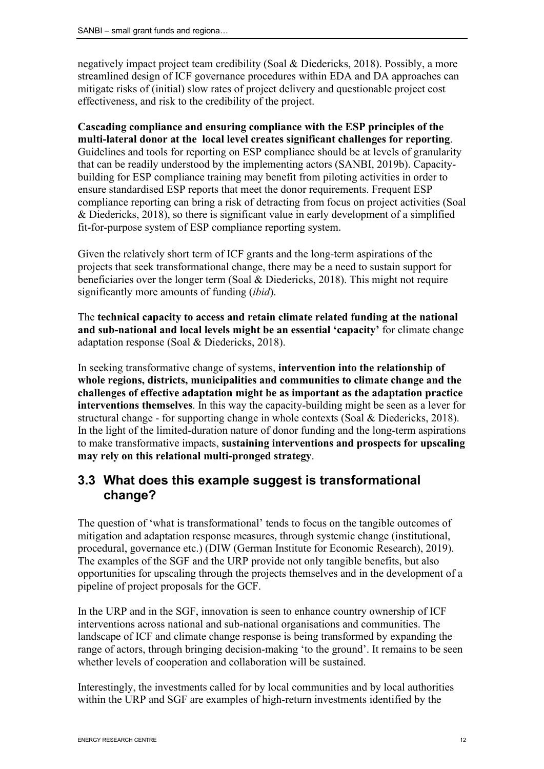negatively impact project team credibility (Soal & Diedericks, 2018). Possibly, a more streamlined design of ICF governance procedures within EDA and DA approaches can mitigate risks of (initial) slow rates of project delivery and questionable project cost effectiveness, and risk to the credibility of the project.

Cascading compliance and ensuring compliance with the ESP principles of the multi-lateral donor at the local level creates significant challenges for reporting. Guidelines and tools for reporting on ESP compliance should be at levels of granularity that can be readily understood by the implementing actors (SANBI, 2019b). Capacitybuilding for ESP compliance training may benefit from piloting activities in order to ensure standardised ESP reports that meet the donor requirements. Frequent ESP compliance reporting can bring a risk of detracting from focus on project activities (Soal & Diedericks, 2018), so there is significant value in early development of a simplified fit-for-purpose system of ESP compliance reporting system.

Given the relatively short term of ICF grants and the long-term aspirations of the projects that seek transformational change, there may be a need to sustain support for beneficiaries over the longer term (Soal & Diedericks, 2018). This might not require significantly more amounts of funding (*ibid*).

The technical capacity to access and retain climate related funding at the national and sub-national and local levels might be an essential 'capacity' for climate change adaptation response (Soal & Diedericks, 2018).

In seeking transformative change of systems, intervention into the relationship of whole regions, districts, municipalities and communities to climate change and the challenges of effective adaptation might be as important as the adaptation practice interventions themselves. In this way the capacity-building might be seen as a lever for structural change - for supporting change in whole contexts (Soal & Diedericks, 2018). In the light of the limited-duration nature of donor funding and the long-term aspirations to make transformative impacts, sustaining interventions and prospects for upscaling may rely on this relational multi-pronged strategy.

#### 3.3 What does this example suggest is transformational change?

The question of 'what is transformational' tends to focus on the tangible outcomes of mitigation and adaptation response measures, through systemic change (institutional, procedural, governance etc.) (DIW (German Institute for Economic Research), 2019). The examples of the SGF and the URP provide not only tangible benefits, but also opportunities for upscaling through the projects themselves and in the development of a pipeline of project proposals for the GCF.

In the URP and in the SGF, innovation is seen to enhance country ownership of ICF interventions across national and sub-national organisations and communities. The landscape of ICF and climate change response is being transformed by expanding the range of actors, through bringing decision-making 'to the ground'. It remains to be seen whether levels of cooperation and collaboration will be sustained.

Interestingly, the investments called for by local communities and by local authorities within the URP and SGF are examples of high-return investments identified by the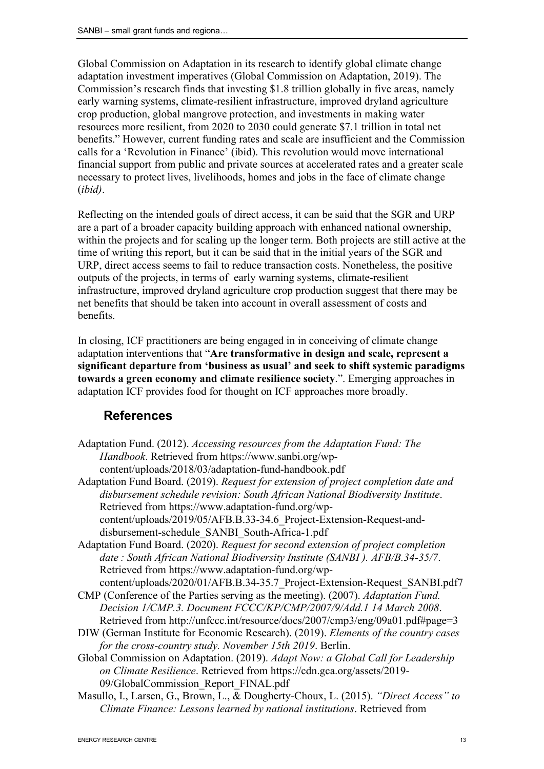Global Commission on Adaptation in its research to identify global climate change adaptation investment imperatives (Global Commission on Adaptation, 2019). The Commission's research finds that investing \$1.8 trillion globally in five areas, namely early warning systems, climate-resilient infrastructure, improved dryland agriculture crop production, global mangrove protection, and investments in making water resources more resilient, from 2020 to 2030 could generate \$7.1 trillion in total net benefits." However, current funding rates and scale are insufficient and the Commission calls for a 'Revolution in Finance' (ibid). This revolution would move international financial support from public and private sources at accelerated rates and a greater scale necessary to protect lives, livelihoods, homes and jobs in the face of climate change (*ibid)*.

Reflecting on the intended goals of direct access, it can be said that the SGR and URP are a part of a broader capacity building approach with enhanced national ownership, within the projects and for scaling up the longer term. Both projects are still active at the time of writing this report, but it can be said that in the initial years of the SGR and URP, direct access seems to fail to reduce transaction costs. Nonetheless, the positive outputs of the projects, in terms of early warning systems, climate-resilient infrastructure, improved dryland agriculture crop production suggest that there may be net benefits that should be taken into account in overall assessment of costs and benefits.

In closing, ICF practitioners are being engaged in in conceiving of climate change adaptation interventions that "Are transformative in design and scale, represent a significant departure from 'business as usual' and seek to shift systemic paradigms towards a green economy and climate resilience society.". Emerging approaches in adaptation ICF provides food for thought on ICF approaches more broadly.

### References

- Adaptation Fund. (2012). *Accessing resources from the Adaptation Fund: The Handbook*. Retrieved from https://www.sanbi.org/wpcontent/uploads/2018/03/adaptation-fund-handbook.pdf
- Adaptation Fund Board. (2019). *Request for extension of project completion date and disbursement schedule revision: South African National Biodiversity Institute*. Retrieved from https://www.adaptation-fund.org/wpcontent/uploads/2019/05/AFB.B.33-34.6\_Project-Extension-Request-anddisbursement-schedule\_SANBI\_South-Africa-1.pdf
- Adaptation Fund Board. (2020). *Request for second extension of project completion date : South African National Biodiversity Institute (SANBI ). AFB/B.34-35/7*. Retrieved from https://www.adaptation-fund.org/wpcontent/uploads/2020/01/AFB.B.34-35.7\_Project-Extension-Request\_SANBI.pdf7
- CMP (Conference of the Parties serving as the meeting). (2007). *Adaptation Fund. Decision 1/CMP.3. Document FCCC/KP/CMP/2007/9/Add.1 14 March 2008*. Retrieved from http://unfccc.int/resource/docs/2007/cmp3/eng/09a01.pdf#page=3
- DIW (German Institute for Economic Research). (2019). *Elements of the country cases for the cross-country study. November 15th 2019*. Berlin.
- Global Commission on Adaptation. (2019). *Adapt Now: a Global Call for Leadership on Climate Resilience*. Retrieved from https://cdn.gca.org/assets/2019- 09/GlobalCommission\_Report\_FINAL.pdf
- Masullo, I., Larsen, G., Brown, L., & Dougherty-Choux, L. (2015). *"Direct Access" to Climate Finance: Lessons learned by national institutions*. Retrieved from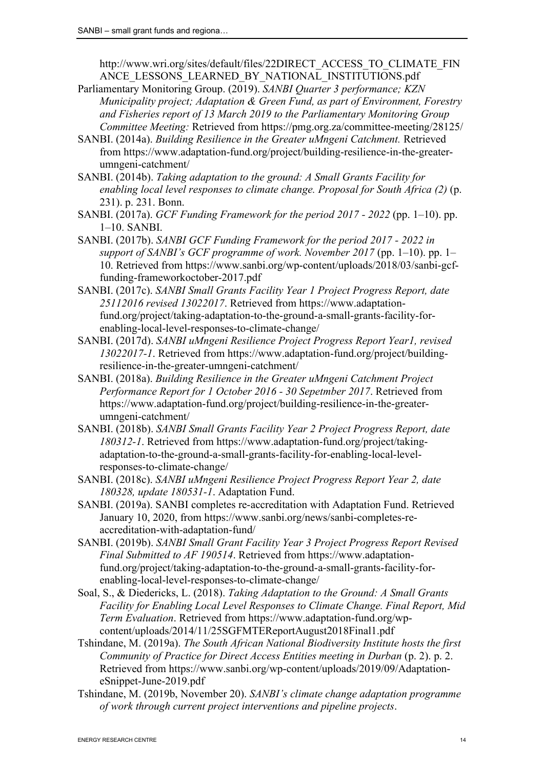http://www.wri.org/sites/default/files/22DIRECT\_ACCESS\_TO\_CLIMATE\_FIN ANCE LESSONS LEARNED BY NATIONAL INSTITUTIONS.pdf

- Parliamentary Monitoring Group. (2019). *SANBI Quarter 3 performance; KZN Municipality project; Adaptation & Green Fund, as part of Environment, Forestry and Fisheries report of 13 March 2019 to the Parliamentary Monitoring Group Committee Meeting:* Retrieved from https://pmg.org.za/committee-meeting/28125/
- SANBI. (2014a). *Building Resilience in the Greater uMngeni Catchment.* Retrieved from https://www.adaptation-fund.org/project/building-resilience-in-the-greaterumngeni-catchment/
- SANBI. (2014b). *Taking adaptation to the ground: A Small Grants Facility for enabling local level responses to climate change. Proposal for South Africa (2)* (p. 231). p. 231. Bonn.
- SANBI. (2017a). *GCF Funding Framework for the period 2017 - 2022* (pp. 1–10). pp. 1–10. SANBI.
- SANBI. (2017b). *SANBI GCF Funding Framework for the period 2017 - 2022 in support of SANBI's GCF programme of work. November 2017* (pp. 1–10). pp. 1– 10. Retrieved from https://www.sanbi.org/wp-content/uploads/2018/03/sanbi-gcffunding-frameworkoctober-2017.pdf
- SANBI. (2017c). *SANBI Small Grants Facility Year 1 Project Progress Report, date 25112016 revised 13022017*. Retrieved from https://www.adaptationfund.org/project/taking-adaptation-to-the-ground-a-small-grants-facility-forenabling-local-level-responses-to-climate-change/
- SANBI. (2017d). *SANBI uMngeni Resilience Project Progress Report Year1, revised 13022017-1*. Retrieved from https://www.adaptation-fund.org/project/buildingresilience-in-the-greater-umngeni-catchment/
- SANBI. (2018a). *Building Resilience in the Greater uMngeni Catchment Project Performance Report for 1 October 2016 - 30 Sepetmber 2017*. Retrieved from https://www.adaptation-fund.org/project/building-resilience-in-the-greaterumngeni-catchment/
- SANBI. (2018b). *SANBI Small Grants Facility Year 2 Project Progress Report, date 180312-1*. Retrieved from https://www.adaptation-fund.org/project/takingadaptation-to-the-ground-a-small-grants-facility-for-enabling-local-levelresponses-to-climate-change/
- SANBI. (2018c). *SANBI uMngeni Resilience Project Progress Report Year 2, date 180328, update 180531-1*. Adaptation Fund.
- SANBI. (2019a). SANBI completes re-accreditation with Adaptation Fund. Retrieved January 10, 2020, from https://www.sanbi.org/news/sanbi-completes-reaccreditation-with-adaptation-fund/
- SANBI. (2019b). *SANBI Small Grant Facility Year 3 Project Progress Report Revised Final Submitted to AF 190514*. Retrieved from https://www.adaptationfund.org/project/taking-adaptation-to-the-ground-a-small-grants-facility-forenabling-local-level-responses-to-climate-change/
- Soal, S., & Diedericks, L. (2018). *Taking Adaptation to the Ground: A Small Grants Facility for Enabling Local Level Responses to Climate Change. Final Report, Mid Term Evaluation*. Retrieved from https://www.adaptation-fund.org/wpcontent/uploads/2014/11/25SGFMTEReportAugust2018Final1.pdf
- Tshindane, M. (2019a). *The South African National Biodiversity Institute hosts the first Community of Practice for Direct Access Entities meeting in Durban* (p. 2). p. 2. Retrieved from https://www.sanbi.org/wp-content/uploads/2019/09/AdaptationeSnippet-June-2019.pdf
- Tshindane, M. (2019b, November 20). *SANBI's climate change adaptation programme of work through current project interventions and pipeline projects*.